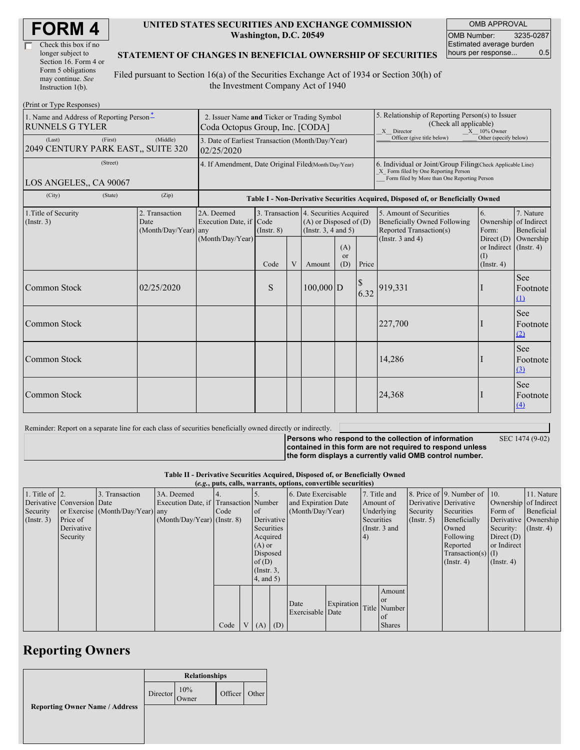| Check this box if no  |  |
|-----------------------|--|
| longer subject to     |  |
| Section 16. Form 4 or |  |
| Form 5 obligations    |  |
| may continue. See     |  |
| Instruction 1(b).     |  |

#### **UNITED STATES SECURITIES AND EXCHANGE COMMISSION Washington, D.C. 20549**

OMB APPROVAL OMB Number: 3235-0287 Estimated average burden hours per response... 0.5

#### **STATEMENT OF CHANGES IN BENEFICIAL OWNERSHIP OF SECURITIES**

Filed pursuant to Section 16(a) of the Securities Exchange Act of 1934 or Section 30(h) of the Investment Company Act of 1940

| (Print or Type Responses)                                                             |                                                                                |                                       |                                                                                  |        |                                                                                                 |                            |                                                                                                                                                    |                                                                                           |                          |                                        |
|---------------------------------------------------------------------------------------|--------------------------------------------------------------------------------|---------------------------------------|----------------------------------------------------------------------------------|--------|-------------------------------------------------------------------------------------------------|----------------------------|----------------------------------------------------------------------------------------------------------------------------------------------------|-------------------------------------------------------------------------------------------|--------------------------|----------------------------------------|
| 1. Name and Address of Reporting Person-<br><b>RUNNELS G TYLER</b>                    | 2. Issuer Name and Ticker or Trading Symbol<br>Coda Octopus Group, Inc. [CODA] |                                       |                                                                                  |        |                                                                                                 |                            | 5. Relationship of Reporting Person(s) to Issuer<br>(Check all applicable)<br>X Director<br>$X = 10\%$ Owner                                       |                                                                                           |                          |                                        |
| (First)<br>(Last)<br>2049 CENTURY PARK EAST,, SUITE 320                               | 3. Date of Earliest Transaction (Month/Day/Year)<br>02/25/2020                 |                                       |                                                                                  |        |                                                                                                 | Officer (give title below) | Other (specify below)                                                                                                                              |                                                                                           |                          |                                        |
| (Street)<br>LOS ANGELES,, CA 90067                                                    | 4. If Amendment, Date Original Filed(Month/Day/Year)                           |                                       |                                                                                  |        |                                                                                                 |                            | 6. Individual or Joint/Group Filing(Check Applicable Line)<br>X Form filed by One Reporting Person<br>Form filed by More than One Reporting Person |                                                                                           |                          |                                        |
| (City)<br>(State)                                                                     | (Zip)                                                                          |                                       | Table I - Non-Derivative Securities Acquired, Disposed of, or Beneficially Owned |        |                                                                                                 |                            |                                                                                                                                                    |                                                                                           |                          |                                        |
| 1. Title of Security<br>2. Transaction<br>(Insert. 3)<br>Date<br>(Month/Day/Year) any |                                                                                | 2A. Deemed<br>Execution Date, if Code | $($ Instr. $8)$                                                                  |        | 3. Transaction 4. Securities Acquired<br>$(A)$ or Disposed of $(D)$<br>(Instr. $3, 4$ and $5$ ) |                            |                                                                                                                                                    | 5. Amount of Securities<br><b>Beneficially Owned Following</b><br>Reported Transaction(s) | 6.<br>Ownership<br>Form: | 7. Nature<br>of Indirect<br>Beneficial |
|                                                                                       | (Month/Day/Year)                                                               | Code                                  | V                                                                                | Amount | (A)<br><sub>or</sub><br>(D)                                                                     | Price                      | (Instr. $3$ and $4$ )                                                                                                                              | Direct $(D)$<br>or Indirect (Instr. 4)<br>(1)<br>$($ Instr. 4 $)$                         | Ownership                |                                        |
| Common Stock                                                                          | 02/25/2020                                                                     |                                       | S                                                                                |        | $100,000$ D                                                                                     |                            | $\boldsymbol{\mathcal{S}}$<br>6.32                                                                                                                 | 919,331                                                                                   |                          | <b>See</b><br>Footnote<br>(1)          |
| Common Stock                                                                          |                                                                                |                                       |                                                                                  |        |                                                                                                 |                            |                                                                                                                                                    | 227,700                                                                                   |                          | See<br>Footnote<br>(2)                 |
| Common Stock                                                                          |                                                                                |                                       |                                                                                  |        |                                                                                                 |                            |                                                                                                                                                    | 14,286                                                                                    |                          | See<br>Footnote<br>$\Omega$            |
| Common Stock                                                                          |                                                                                |                                       |                                                                                  |        |                                                                                                 |                            |                                                                                                                                                    | 24,368                                                                                    |                          | See<br>Footnote<br>(4)                 |

Reminder: Report on a separate line for each class of securities beneficially owned directly or indirectly.

SEC 1474 (9-02)

**Persons who respond to the collection of information contained in this form are not required to respond unless the form displays a currently valid OMB control number.**

**Table II - Derivative Securities Acquired, Disposed of, or Beneficially Owned**

|                        | (e.g., puts, calls, warrants, options, convertible securities) |                                  |                                       |      |                |                 |                     |                     |            |            |                  |                       |                              |                       |                  |
|------------------------|----------------------------------------------------------------|----------------------------------|---------------------------------------|------|----------------|-----------------|---------------------|---------------------|------------|------------|------------------|-----------------------|------------------------------|-----------------------|------------------|
| 1. Title of $\vert$ 2. |                                                                | 3. Transaction                   | 3A. Deemed                            |      |                |                 |                     | 6. Date Exercisable |            |            | 7. Title and     |                       | 8. Price of 9. Number of 10. |                       | 11. Nature       |
|                        | Derivative Conversion Date                                     |                                  | Execution Date, if Transaction Number |      |                |                 | and Expiration Date |                     |            | Amount of  |                  | Derivative Derivative |                              | Ownership of Indirect |                  |
| Security               |                                                                | or Exercise (Month/Day/Year) any |                                       | Code |                | <sub>of</sub>   | (Month/Day/Year)    |                     |            | Underlying | Security         | Securities            | Form of                      | Beneficial            |                  |
| $($ Instr. 3 $)$       | Price of                                                       |                                  | $(Month/Day/Year)$ (Instr. 8)         |      |                |                 | Derivative          |                     | Securities |            | $($ Instr. 5 $)$ | Beneficially          |                              | Derivative Ownership  |                  |
|                        | Derivative                                                     |                                  |                                       |      |                | Securities      |                     |                     |            |            | (Instr. 3 and    |                       | Owned                        | Security:             | $($ Instr. 4 $)$ |
|                        | Security                                                       |                                  |                                       |      |                | Acquired        |                     |                     |            | $\vert 4)$ |                  |                       | Following                    | Direct $(D)$          |                  |
|                        |                                                                |                                  |                                       |      |                | $(A)$ or        |                     |                     |            |            |                  |                       | Reported                     | or Indirect           |                  |
|                        |                                                                |                                  |                                       |      |                | Disposed        |                     |                     |            |            |                  |                       | $Transaction(s)$ (I)         |                       |                  |
|                        |                                                                |                                  |                                       |      |                | of $(D)$        |                     |                     |            |            |                  |                       | $($ Instr. 4)                | $($ Instr. 4 $)$      |                  |
|                        |                                                                |                                  |                                       |      |                | $($ Instr. $3,$ |                     |                     |            |            |                  |                       |                              |                       |                  |
|                        |                                                                |                                  |                                       |      |                | 4, and 5)       |                     |                     |            |            |                  |                       |                              |                       |                  |
|                        |                                                                |                                  |                                       |      |                |                 |                     |                     |            |            | Amount           |                       |                              |                       |                  |
|                        |                                                                |                                  |                                       |      |                |                 |                     |                     |            |            | <b>or</b>        |                       |                              |                       |                  |
|                        |                                                                |                                  |                                       |      |                |                 |                     | Date                | Expiration |            | Title Number     |                       |                              |                       |                  |
|                        |                                                                |                                  |                                       |      |                |                 |                     | Exercisable Date    |            |            | of               |                       |                              |                       |                  |
|                        |                                                                |                                  |                                       | Code | V <sub>1</sub> | (A)             | (D)                 |                     |            |            | <b>Shares</b>    |                       |                              |                       |                  |

## **Reporting Owners**

|                                       | <b>Relationships</b> |              |               |  |  |
|---------------------------------------|----------------------|--------------|---------------|--|--|
|                                       | Director             | 10%<br>Owner | Officer Other |  |  |
| <b>Reporting Owner Name / Address</b> |                      |              |               |  |  |